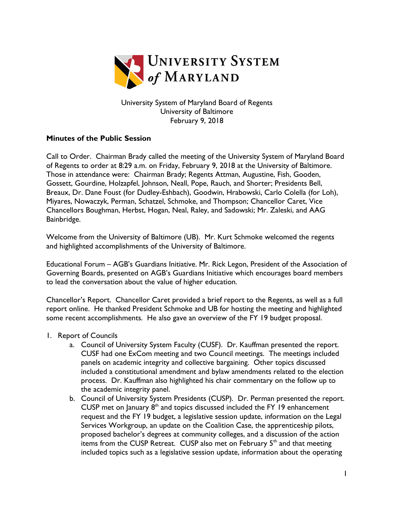

University System of Maryland Board of Regents University of Baltimore February 9, 2018

## **Minutes of the Public Session**

Call to Order. Chairman Brady called the meeting of the University System of Maryland Board of Regents to order at 8:29 a.m. on Friday, February 9, 2018 at the University of Baltimore. Those in attendance were: Chairman Brady; Regents Attman, Augustine, Fish, Gooden, Gossett, Gourdine, Holzapfel, Johnson, Neall, Pope, Rauch, and Shorter; Presidents Bell, Breaux, Dr. Dane Foust (for Dudley-Eshbach), Goodwin, Hrabowski, Carlo Colella (for Loh), Miyares, Nowaczyk, Perman, Schatzel, Schmoke, and Thompson; Chancellor Caret, Vice Chancellors Boughman, Herbst, Hogan, Neal, Raley, and Sadowski; Mr. Zaleski, and AAG Bainbridge.

Welcome from the University of Baltimore (UB). Mr. Kurt Schmoke welcomed the regents and highlighted accomplishments of the University of Baltimore.

Educational Forum – AGB's Guardians Initiative. Mr. Rick Legon, President of the Association of Governing Boards, presented on AGB's Guardians Initiative which encourages board members to lead the conversation about the value of higher education.

Chancellor's Report. Chancellor Caret provided a brief report to the Regents, as well as a full report online. He thanked President Schmoke and UB for hosting the meeting and highlighted some recent accomplishments. He also gave an overview of the FY 19 budget proposal.

- 1. Report of Councils
	- a. Council of University System Faculty (CUSF). Dr. Kauffman presented the report. CUSF had one ExCom meeting and two Council meetings. The meetings included panels on academic integrity and collective bargaining. Other topics discussed included a constitutional amendment and bylaw amendments related to the election process. Dr. Kauffman also highlighted his chair commentary on the follow up to the academic integrity panel.
	- b. Council of University System Presidents (CUSP). Dr. Perman presented the report. CUSP met on January  $8<sup>th</sup>$  and topics discussed included the FY 19 enhancement request and the FY 19 budget, a legislative session update, information on the Legal Services Workgroup, an update on the Coalition Case, the apprenticeship pilots, proposed bachelor's degrees at community colleges, and a discussion of the action items from the CUSP Retreat. CUSP also met on February 5<sup>th</sup> and that meeting included topics such as a legislative session update, information about the operating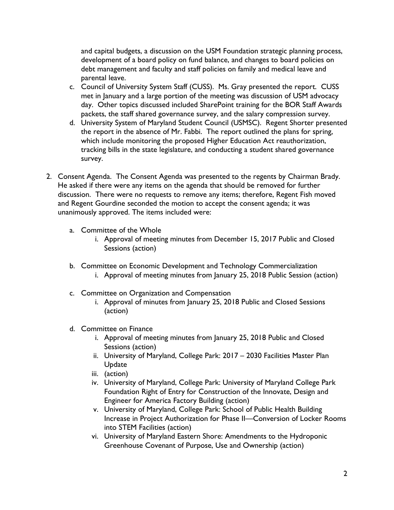and capital budgets, a discussion on the USM Foundation strategic planning process, development of a board policy on fund balance, and changes to board policies on debt management and faculty and staff policies on family and medical leave and parental leave.

- c. Council of University System Staff (CUSS). Ms. Gray presented the report. CUSS met in January and a large portion of the meeting was discussion of USM advocacy day. Other topics discussed included SharePoint training for the BOR Staff Awards packets, the staff shared governance survey, and the salary compression survey.
- d. University System of Maryland Student Council (USMSC). Regent Shorter presented the report in the absence of Mr. Fabbi. The report outlined the plans for spring, which include monitoring the proposed Higher Education Act reauthorization, tracking bills in the state legislature, and conducting a student shared governance survey.
- 2. Consent Agenda. The Consent Agenda was presented to the regents by Chairman Brady. He asked if there were any items on the agenda that should be removed for further discussion. There were no requests to remove any items; therefore, Regent Fish moved and Regent Gourdine seconded the motion to accept the consent agenda; it was unanimously approved. The items included were:
	- a. Committee of the Whole
		- i. Approval of meeting minutes from December 15, 2017 Public and Closed Sessions (action)
	- b. Committee on Economic Development and Technology Commercialization i. Approval of meeting minutes from January 25, 2018 Public Session (action)
	- c. Committee on Organization and Compensation
		- i. Approval of minutes from January 25, 2018 Public and Closed Sessions (action)
	- d. Committee on Finance
		- i. Approval of meeting minutes from January 25, 2018 Public and Closed Sessions (action)
		- ii. University of Maryland, College Park: 2017 2030 Facilities Master Plan Update
		- iii. (action)
		- iv. University of Maryland, College Park: University of Maryland College Park Foundation Right of Entry for Construction of the Innovate, Design and Engineer for America Factory Building (action)
		- v. University of Maryland, College Park: School of Public Health Building Increase in Project Authorization for Phase II—Conversion of Locker Rooms into STEM Facilities (action)
		- vi. University of Maryland Eastern Shore: Amendments to the Hydroponic Greenhouse Covenant of Purpose, Use and Ownership (action)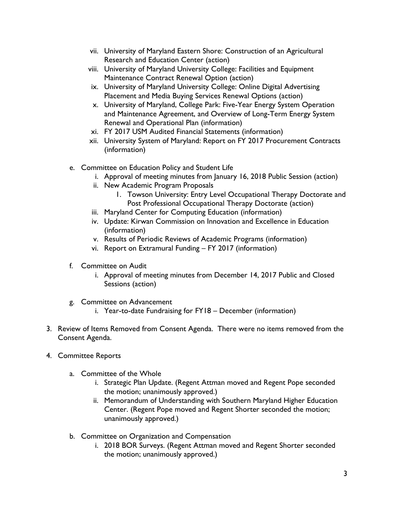- vii. University of Maryland Eastern Shore: Construction of an Agricultural Research and Education Center (action)
- viii. University of Maryland University College: Facilities and Equipment Maintenance Contract Renewal Option (action)
- ix. University of Maryland University College: Online Digital Advertising Placement and Media Buying Services Renewal Options (action)
- x. University of Maryland, College Park: Five-Year Energy System Operation and Maintenance Agreement, and Overview of Long-Term Energy System Renewal and Operational Plan (information)
- xi. FY 2017 USM Audited Financial Statements (information)
- xii. University System of Maryland: Report on FY 2017 Procurement Contracts (information)
- e. Committee on Education Policy and Student Life
	- i. Approval of meeting minutes from January 16, 2018 Public Session (action)
	- ii. New Academic Program Proposals
		- 1. Towson University: Entry Level Occupational Therapy Doctorate and Post Professional Occupational Therapy Doctorate (action)
	- iii. Maryland Center for Computing Education (information)
	- iv. Update: Kirwan Commission on Innovation and Excellence in Education (information)
	- v. Results of Periodic Reviews of Academic Programs (information)
	- vi. Report on Extramural Funding FY 2017 (information)
- f. Committee on Audit
	- i. Approval of meeting minutes from December 14, 2017 Public and Closed Sessions (action)
- g. Committee on Advancement
	- i. Year-to-date Fundraising for FY18 December (information)
- 3. Review of Items Removed from Consent Agenda. There were no items removed from the Consent Agenda.
- 4. Committee Reports
	- a. Committee of the Whole
		- i. Strategic Plan Update. (Regent Attman moved and Regent Pope seconded the motion; unanimously approved.)
		- ii. Memorandum of Understanding with Southern Maryland Higher Education Center. (Regent Pope moved and Regent Shorter seconded the motion; unanimously approved.)
	- b. Committee on Organization and Compensation
		- i. 2018 BOR Surveys. (Regent Attman moved and Regent Shorter seconded the motion; unanimously approved.)